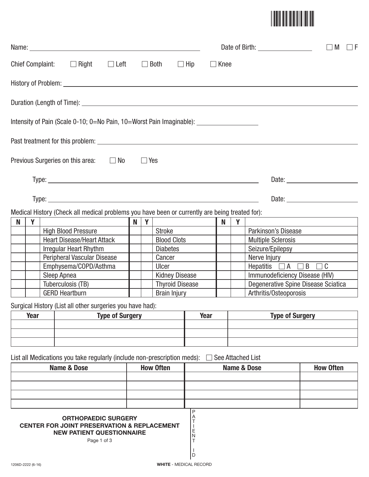

|                        |                                                       |                                                                                                                                         |                        |                        |                                       |                            |                                     |                   |                                        | $\Box$ M<br>$\Box$ F |
|------------------------|-------------------------------------------------------|-----------------------------------------------------------------------------------------------------------------------------------------|------------------------|------------------------|---------------------------------------|----------------------------|-------------------------------------|-------------------|----------------------------------------|----------------------|
|                        |                                                       | Chief Complaint: $\Box$ Right $\Box$ Left                                                                                               |                        |                        | $\Box$ Both                           | $\Box$ Hip                 | $\Box$ Knee                         |                   |                                        |                      |
|                        |                                                       |                                                                                                                                         |                        |                        |                                       |                            |                                     |                   |                                        |                      |
|                        |                                                       |                                                                                                                                         |                        |                        |                                       |                            |                                     |                   |                                        |                      |
|                        |                                                       | Intensity of Pain (Scale 0-10; 0=No Pain, 10=Worst Pain Imaginable): _____________                                                      |                        |                        |                                       |                            |                                     |                   |                                        |                      |
|                        |                                                       |                                                                                                                                         |                        |                        |                                       |                            |                                     |                   |                                        |                      |
|                        |                                                       | Previous Surgeries on this area: $\Box$ No $\Box$ Yes                                                                                   |                        |                        |                                       |                            |                                     |                   |                                        |                      |
|                        |                                                       |                                                                                                                                         |                        |                        |                                       |                            |                                     |                   |                                        |                      |
|                        |                                                       |                                                                                                                                         |                        |                        |                                       |                            |                                     |                   |                                        |                      |
|                        |                                                       | Medical History (Check all medical problems you have been or currently are being treated for):                                          |                        |                        |                                       |                            |                                     |                   |                                        |                      |
| N                      | Y                                                     |                                                                                                                                         |                        | $N$   $Y$              |                                       |                            | $\mathbf N$                         | Y                 |                                        |                      |
|                        |                                                       | <b>High Blood Pressure</b><br><b>Heart Disease/Heart Attack</b>                                                                         |                        |                        | Stroke                                |                            |                                     |                   | Parkinson's Disease                    |                      |
|                        |                                                       |                                                                                                                                         |                        |                        | <b>Blood Clots</b><br><b>Diabetes</b> |                            |                                     |                   | Multiple Sclerosis<br>Seizure/Epilepsy |                      |
|                        | Irregular Heart Rhythm<br>Peripheral Vascular Disease |                                                                                                                                         |                        |                        | Cancer                                |                            |                                     |                   | Nerve Injury                           |                      |
|                        | Emphysema/COPD/Asthma                                 |                                                                                                                                         |                        |                        | Ulcer                                 |                            |                                     |                   | Hepatitis $\Box A$ $\Box B$ $\Box C$   |                      |
|                        | Sleep Apnea                                           |                                                                                                                                         |                        | <b>Kidney Disease</b>  |                                       |                            | Immunodeficiency Disease (HIV)      |                   |                                        |                      |
|                        |                                                       | Tuberculosis (TB)                                                                                                                       |                        | <b>Thyroid Disease</b> |                                       |                            | Degenerative Spine Disease Sciatica |                   |                                        |                      |
|                        |                                                       | <b>GERD Heartburn</b>                                                                                                                   |                        |                        |                                       | <b>Brain Injury</b>        |                                     |                   | Arthritis/Osteoporosis                 |                      |
|                        |                                                       | Surgical History (List all other surgeries you have had):                                                                               |                        |                        |                                       |                            |                                     |                   |                                        |                      |
|                        | Year                                                  |                                                                                                                                         | <b>Type of Surgery</b> |                        |                                       |                            | <b>Year</b>                         |                   | <b>Type of Surgery</b>                 |                      |
|                        |                                                       |                                                                                                                                         |                        |                        |                                       |                            |                                     |                   |                                        |                      |
|                        |                                                       | List all Medications you take regularly (include non-prescription meds):                                                                |                        |                        |                                       |                            |                                     | See Attached List |                                        |                      |
| <b>Name &amp; Dose</b> |                                                       |                                                                                                                                         |                        | <b>How Often</b>       |                                       |                            | <b>Name &amp; Dose</b>              |                   | <b>How Often</b>                       |                      |
|                        |                                                       |                                                                                                                                         |                        |                        |                                       |                            |                                     |                   |                                        |                      |
|                        |                                                       |                                                                                                                                         |                        |                        |                                       |                            |                                     |                   |                                        |                      |
|                        |                                                       |                                                                                                                                         |                        |                        |                                       |                            |                                     |                   |                                        |                      |
|                        |                                                       | <b>ORTHOPAEDIC SURGERY</b><br><b>CENTER FOR JOINT PRESERVATION &amp; REPLACEMENT</b><br><b>NEW PATIENT QUESTIONNAIRE</b><br>Page 1 of 3 |                        |                        |                                       | P<br>Α<br>Ε<br>N<br>Τ<br>D |                                     |                   |                                        |                      |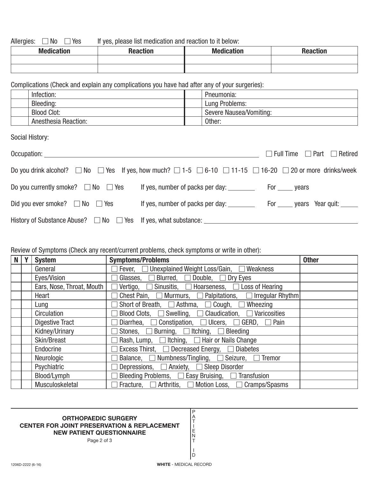Allergies:  $\Box$  No  $\Box$ If yes, please list medication and reaction to it below:

| <b>Medication</b> | <b>Reaction</b> | <b>Medication</b> | <b>Reaction</b> |
|-------------------|-----------------|-------------------|-----------------|
|                   |                 |                   |                 |
|                   |                 |                   |                 |

Complications (Check and explain any complications you have had after any of your surgeries):

| Infection: |                             | Pneumonia:              |
|------------|-----------------------------|-------------------------|
| Bleeding:  |                             | Lung Problems:          |
|            | <b>Blood Clot:</b>          | Severe Nausea/Vomiting: |
|            | <b>Anesthesia Reaction:</b> | Other:                  |

Social History:

| Occupation: _____________                                                                                                                   |                                  | $\Box$ Full Time $\Box$ Part $\Box$ Retired |
|---------------------------------------------------------------------------------------------------------------------------------------------|----------------------------------|---------------------------------------------|
| Do you drink alcohol? $\Box$ No $\Box$ Yes If yes, how much? $\Box$ 1-5 $\Box$ 6-10 $\Box$ 11-15 $\Box$ 16-20 $\Box$ 20 or more drinks/week |                                  |                                             |
| Do you currently smoke? $\Box$ No $\Box$ Yes                                                                                                |                                  |                                             |
| Did you ever smoke? $\Box$ No $\Box$ Yes                                                                                                    | If yes, number of packs per day: | For ______ years Year quit: ______          |
|                                                                                                                                             |                                  |                                             |

## Review of Symptoms (Check any recent/current problems, check symptoms or write in other):

| <b>N</b> | Y       | <b>System</b>             | <b>Symptoms/Problems</b>                                                        | <b>Other</b> |
|----------|---------|---------------------------|---------------------------------------------------------------------------------|--------------|
|          | General |                           | $\Box$ Fever, $\Box$ Unexplained Weight Loss/Gain, $\Box$ Weakness              |              |
|          |         | Eyes/Vision               | $\Box$ Glasses, $\Box$ Blurred, $\Box$ Double, $\Box$ Dry Eyes                  |              |
|          |         | Ears, Nose, Throat, Mouth | $\Box$ Vertigo, $\Box$ Sinusitis, $\Box$ Hoarseness, $\Box$ Loss of Hearing     |              |
|          |         | Heart                     | $\Box$ Chest Pain, $\Box$ Murmurs, $\Box$ Palpitations, $\Box$ Irregular Rhythm |              |
|          |         | Lung                      | $\Box$ Short of Breath, $\Box$ Asthma, $\Box$ Cough, $\Box$ Wheezing            |              |
|          |         | Circulation               | $\Box$ Blood Clots, $\Box$ Swelling, $\Box$ Claudication, $\Box$ Varicosities   |              |
|          |         | <b>Digestive Tract</b>    | Diarrhea, $\Box$ Constipation, $\Box$ Ulcers, $\Box$ GERD, $\Box$ Pain          |              |
|          |         | Kidney/Urinary            | $\Box$ Stones, $\Box$ Burning, $\Box$ Itching, $\Box$ Bleeding                  |              |
|          |         | Skin/Breast               | $\Box$ Rash, Lump, $\Box$ Itching, $\Box$ Hair or Nails Change                  |              |
|          |         | Endocrine                 | $\Box$ Excess Thirst, $\Box$ Decreased Energy, $\Box$ Diabetes                  |              |
|          |         | Neurologic                | $\Box$ Balance, $\Box$ Numbness/Tingling, $\Box$ Seizure, $\Box$ Tremor         |              |
|          |         | Psychiatric               | $\Box$ Depressions, $\Box$ Anxiety, $\Box$ Sleep Disorder                       |              |
|          |         | Blood/Lymph               | $\Box$ Bleeding Problems, $\Box$ Easy Bruising, $\Box$ Transfusion              |              |
|          |         | Musculoskeletal           | $\Box$ Fracture, $\Box$ Arthritis, $\Box$ Motion Loss, $\Box$ Cramps/Spasms     |              |

## **ORTHOPAEDIC SURGERY CENTER FOR JOINT PRESERVATION & REPLACEMENT NEW PATIENT QUESTIONNAIRE**

Page 2 of 3

I D

P